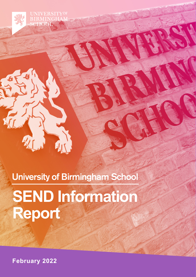**IRMINGHAI SCHOOL** 

University of Birmingham School

 $\sqrt{11}$ 

**SEND Information Report**

**February 2022**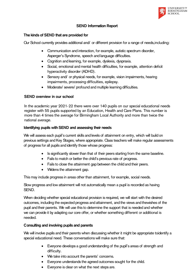

## SEND Information Report

#### The kinds of SEND that are provided for

Our School currently provides additional and/ or different provision for a range of needs,including:

- Communication and interaction, for example, autistic spectrum disorder, Asperger's Syndrome, speech and language difficulties.
- Cognition and learning, for example, dyslexia, dyspraxia.
- Social, emotional and mental health difficulties, for example, attention deficit hyperactivity disorder (ADHD).
- Sensory and/ or physical needs, for example, vision impairments, hearing impairments, processing difficulties, epilepsy.
- Moderate/ severe/ profound and multiple learning difficulties.

### SEND overview in our school

In the academic year 2021-22 there were over 140 pupils on our special educational needs register with 55 pupils supported by an Education, Health and Care Plans. This number is more than 4 times the average for Birmingham Local Authority and more than twice the national average.

#### Identifying pupils with SEND and assessing their needs

We will assess each pupil's current skills and levels of attainment on entry, which will build on previous settings and Key Stages, where appropriate. Class teachers will make regular assessments of progress for all pupils and identify those whose progress:

- Is significantly slower than that of their peers starting from the same baseline.
- Fails to match or better the child's previous rate of progress.
- Fails to close the attainment gap between the child and their peers.
- Widens the attainment gap.

This may include progress in areas other than attainment, for example, social needs.

Slow progress and low attainment will not automatically mean a pupil is recorded as having SEND.

When deciding whether special educational provision is required, we will start with the desired outcomes, including the expected progress and attainment, and the views and thewishes of the pupil and their parents. We will use this to determine the support that is needed and whether we can provide it by adapting our core offer, or whether something different or additional is needed.

### Consulting and involving pupils and parents

We will involve pupils and their parents when discussing whether it might be appropriate toidentify a special educational need. These conversations will make sure that:

- Everyone develops a good understanding of the pupil's areas of strength and difficulty.
- We take into account the parents' concerns.
- Everyone understands the agreed outcomes sought for the child.
- Everyone is clear on what the next steps are.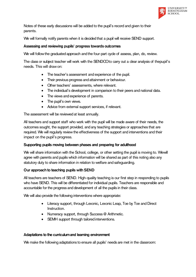

Notes of these early discussions will be added to the pupil's record and given to their parents.

We will formally notify parents when it is decided that a pupil will receive SEND support.

## Assessing and reviewing pupils' progress towards outcomes

We will follow the graduated approach and the four-part cycle of assess, plan, do, review.

The class or subject teacher will work with the SENDCOto carry out a clear analysis of thepupil's needs. This will drawon:

- The teacher's assessment and experience of the pupil.
- Their previous progress and attainment or behaviour.
- Other teachers' assessments, where relevant.
- The individual's development in comparison to their peers and national data.
- The views and experience of parents.
- The pupil's own views.
- Advice from external support services, if relevant.

The assessment will be reviewed at least annually.

All teachers and support staff who work with the pupil will be made aware of their needs, the outcomes sought, the support provided, and any teaching strategies or approaches that are required. We will regularly review the effectiveness of the support and interventions and their impact on the pupil's progress.

# Supporting pupils moving between phases and preparing for adulthood

We will share information with the School, college, or other setting the pupil is moving to. Wewill agree with parents and pupils which information will be shared as part of this noting also any statutory duty to share information in relation to welfare and safeguarding.

# Our approach to teaching pupils with SEND

All teachers are teachers of SEND. High-quality teaching is our first step in responding to pupils who have SEND. This will be differentiated for individual pupils. Teachers are responsible and accountable for the progress and development of all the pupils in their class.

We will also provide the following interventions where appropriate:

- Literacy support, through Lexonic, Lexonic Leap, Toe by Toe and Direct Instruction.
- Numeracy support, through Success @ Arithmetic.
- SEMH support through tailored interventions.

# Adaptations to the curriculumand learning environment

We make the following adaptations to ensure all pupils' needs are met in the classroom: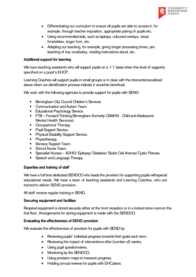

- Differentiating our curriculum to ensure all pupils are able to access it, for example, through teacher exposition, appropriate pairing of pupils etc.
- Using recommended aids, such as laptops, coloured overlays, visual timetables, larger font, etc.
- Adapting our teaching, for example, giving longer processing times, preteaching of key vocabulary, reading instructions aloud, etc.

## Additional support for learning

We have teaching assistants who will support pupils on a 1:1 basis when this level of supportis specified on a pupil's EHCP.

Learning Coaches will support pupils in small groups or in class with the interventionsoutlined above when our identification process indicate it would be beneficial.

We work with the following agencies to provide support for pupils with SEND:

- Birmingham City Council Children's Services
- Communication and Autism Team.
- Educational Psychology Service.
- FTB Forward Thinking Birmingham (formerly CAMHS Child and Adolescent Mental Health Services).
- Occupational Therapy.
- Pupil Support Service.
- Physical Disability Support Service.
- Physiotherapy.
- Sensory Support Team.
- School Nurse Team.
- Specialist Nurses ADHD/ Epilepsy/ Diabetes/ Sickle Cell Anemia/ Oystic Fibrosis.
- Speech and Language Therapy.

### Expertise and training of staff

We have a full time dedicated SENDCO who leads the provision for supporting pupils withspecial educational needs. We have a team of teaching assistants and Learning Coaches, who are trained to deliver SEND provision.

All staff receive regular training in SEND.

### Securing equipment and facilities

Required equipment is stored securely either at the front reception or in a locked store room on the first floor. Arrangements for storing equipment is made with the SENDCO.

### Evaluating the effectiveness of SEND provision

We evaluate the effectiveness of provision for pupils with SEND by:

- Reviewing pupils' individual progress towards their goals each term.
- Reviewing the impact of interventions after [number of] weeks.
- Using pupil questionnaires.
- Monitoring by the SENDCO.
- Using provision maps to measure progress.
- Holding annual reviews for pupils with EHCplans.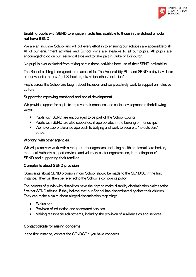

## Enabling pupils with SEND to engage in activities available to those in the School whodo not have SEND

We are an inclusive School and will put every effort in to ensuring our activities are accessibleto all. All of our enrichment activities and School visits are available to all our pupils. All pupils are encouraged to go on our residential trips and to take part in Duke of Edinburgh.

No pupil is ever excluded from taking part in these activities because of their SEND ordisability.

The School building is designed to be accessible. The Accessibility Plan andSEND policy isavailable on our website: https:/ / uobSchool.org.uk/ vision-ethos/ inclusion/

Pupils across the School are taught about Inclusion and we proactively work to support aninclusive culture.

### Support for improving emotional and social development

We provide support for pupils to improve their emotional and social development in thefollowing ways:

- Pupils with SEND are encouraged to be part of the School Council.
- Pupils with SEND are also supported, if appropriate, in the building of friendships.
- We have a zero tolerance approach to bullying and work to secure a "no outsiders" ethos.

### Working with other agencies

We will proactively work with a range of other agencies, including health and social care bodies, the Local Authority support services and voluntary sector organisations, in meetingpupils' SEND and supporting their families.

### Complaints about SEND provision

Complaints about SEND provision in our School should be made to the SENDCO in the first instance. They will then be referred to the School's complaints policy.

The parents of pupils with disabilities have the right to make disability discrimination claims tothe first-tier SEND tribunal if they believe that our School has discriminated against their children. They can make a claim about alleged discrimination regarding:

- **•** Exclusions.
- Provision of education and associated services.
- Making reasonable adjustments, including the provision of auxiliary aids and services.

### Contact details for raising concerns

In the first instance, contact the SENDCOif you have concerns.